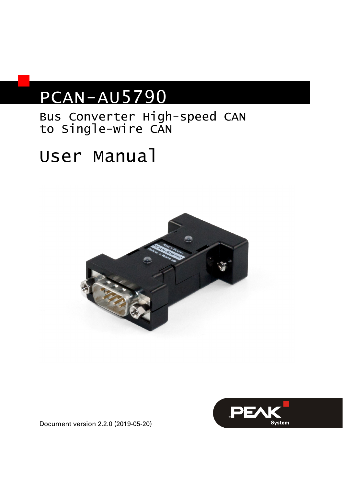# PCAN-AU5790

## Bus Converter High-speed CAN to Single-wire CAN

# User Manual





Document version 2.2.0 (2019-05-20)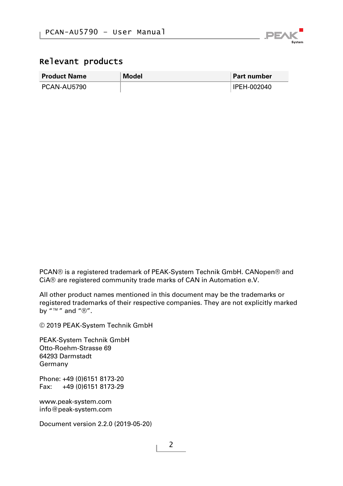

#### Relevant products

| <b>Product Name</b> | Model | <b>Part number</b> |
|---------------------|-------|--------------------|
| PCAN-AU5790         |       | IPEH-002040        |

PCAN® is a registered trademark of PEAK-System Technik GmbH. CANopen® and CiA® are registered community trade marks of CAN in Automation e.V.

All other product names mentioned in this document may be the trademarks or registered trademarks of their respective companies. They are not explicitly marked by  $\sqrt[n]{n}$   $\sqrt[m]{n}$  and  $\sqrt[m]{n}$ .

© 2019 PEAK-System Technik GmbH

PEAK-System Technik GmbH Otto-Roehm-Strasse 69 64293 Darmstadt Germany

Phone: +49 (0)6151 8173-20 Fax: +49 (0)6151 8173-29

[www.peak-system.com](http://www.peak-system.com/)  [info@peak-system.com](mailto:info@peak-system.com)

Document version 2.2.0 (2019-05-20)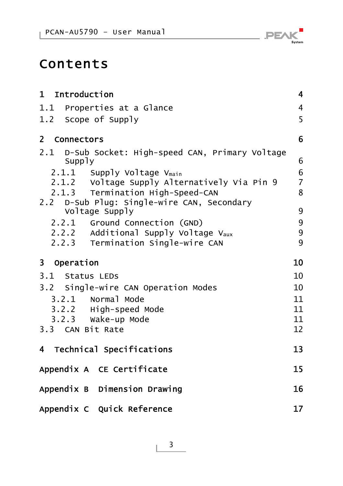

# Contents

| 1 Introduction                                               | $\overline{\mathbf{4}}$ |
|--------------------------------------------------------------|-------------------------|
| 1.1 Properties at a Glance                                   | $\overline{4}$          |
| 1.2 Scope of Supply                                          | 5                       |
| 2 Connectors                                                 | 6                       |
| 2.1 D-Sub Socket: High-speed CAN, Primary Voltage<br>Supply  | 6                       |
| 2.1.1 Supply Voltage Vmain                                   | $\boldsymbol{6}$        |
| 2.1.2 Voltage Supply Alternatively Via Pin 9                 | $\overline{7}$          |
| 2.1.3 Termination High-Speed-CAN                             | 8                       |
| 2.2 D-Sub Plug: Single-wire CAN, Secondary<br>Voltage Supply | 9                       |
| 2.2.1 Ground Connection (GND)                                | 9                       |
| 2.2.2 Additional Supply Voltage V <sub>aux</sub>             | 9                       |
| 2.2.3 Termination Single-wire CAN                            | 9                       |
| 3 Operation                                                  | 10                      |
| 3.1 Status LEDS                                              | 10                      |
| 3.2 Single-wire CAN Operation Modes                          | 10                      |
| 3.2.1 Normal Mode                                            | 11                      |
| 3.2.2 High-speed Mode                                        | 11                      |
| 3.2.3 Wake-up Mode                                           | 11                      |
| 3.3 CAN Bit Rate                                             | 12                      |
| 4 Technical Specifications                                   | 13                      |
| Appendix A CE Certificate                                    | 15                      |
| Appendix B Dimension Drawing                                 | 16                      |
| Appendix C Quick Reference                                   | 17                      |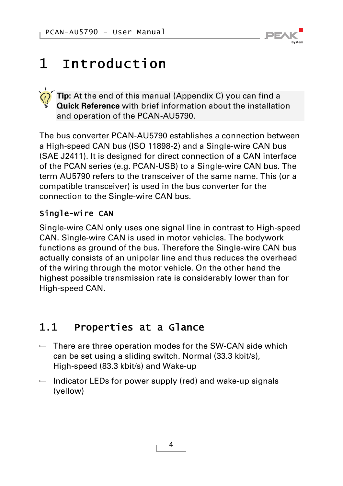

# <span id="page-3-0"></span>1 Introduction

**Tip:** At the end of this manual ([Appendix C\)](#page-16-0) you can find a **Quick Reference** with brief information about the installation and operation of the PCAN-AU5790.

The bus converter PCAN-AU5790 establishes a connection between a High-speed CAN bus (ISO 11898-2) and a Single-wire CAN bus (SAE J2411). It is designed for direct connection of a CAN interface of the PCAN series (e.g. PCAN-USB) to a Single-wire CAN bus. The term AU5790 refers to the transceiver of the same name. This (or a compatible transceiver) is used in the bus converter for the connection to the Single-wire CAN bus.

### Single-wire CAN

Single-wire CAN only uses one signal line in contrast to High-speed CAN. Single-wire CAN is used in motor vehicles. The bodywork functions as ground of the bus. Therefore the Single-wire CAN bus actually consists of an unipolar line and thus reduces the overhead of the wiring through the motor vehicle. On the other hand the highest possible transmission rate is considerably lower than for High-speed CAN.

## <span id="page-3-1"></span>1.1 Properties at a Glance

- $\blacksquare$  There are three operation modes for the SW-CAN side which can be set using a sliding switch. Normal (33.3 kbit/s), High-speed (83.3 kbit/s) and Wake-up
- $\blacksquare$  Indicator LEDs for power supply (red) and wake-up signals (yellow)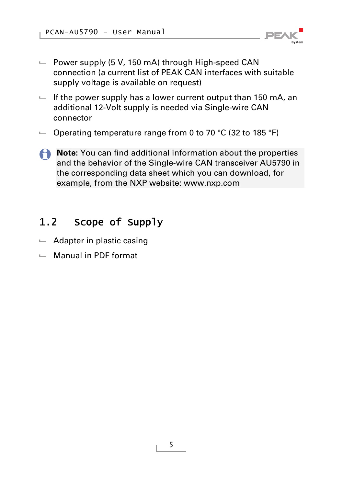

- $\blacksquare$  Power supply (5 V, 150 mA) through High-speed CAN connection (a current list of PEAK CAN interfaces with suitable supply voltage is available on request)
- $-I$  if the power supply has a lower current output than 150 mA, an additional 12-Volt supply is needed via Single-wire CAN connector
- $\sim$  Operating temperature range from 0 to 70 °C (32 to 185 °F)
- **A** Note: You can find additional information about the properties and the behavior of the Single-wire CAN transceiver AU5790 in the corresponding data sheet which you can download, for example, from the NXP website: [www.nxp.com](http://www.nxp.com/)

## 1.2 Scope of Supply

- <span id="page-4-0"></span> $\leftarrow$  Adapter in plastic casing
- $\Box$  Manual in PDF format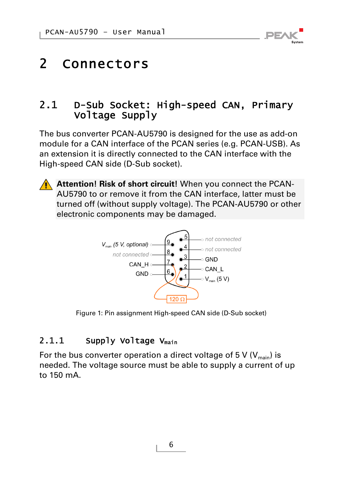

# <span id="page-5-0"></span>2 Connectors

### 2.1 D-Sub Socket: High-speed CAN, Primary Voltage Supply

<span id="page-5-1"></span>The bus converter PCAN-AU5790 is designed for the use as add-on module for a CAN interface of the PCAN series (e.g. PCAN-USB). As an extension it is directly connected to the CAN interface with the High-speed CAN side (D-Sub socket).



**Attention! Risk of short circuit!** When you connect the PCAN-AU5790 to or remove it from the CAN interface, latter must be turned off (without supply voltage). The PCAN-AU5790 or other electronic components may be damaged.



Figure 1: Pin assignment High-speed CAN side (D-Sub socket)

#### 2.1.1 Supply Voltage Vmain

<span id="page-5-2"></span>For the bus converter operation a direct voltage of 5 V  $(V_{\text{main}})$  is needed. The voltage source must be able to supply a current of up to 150 mA.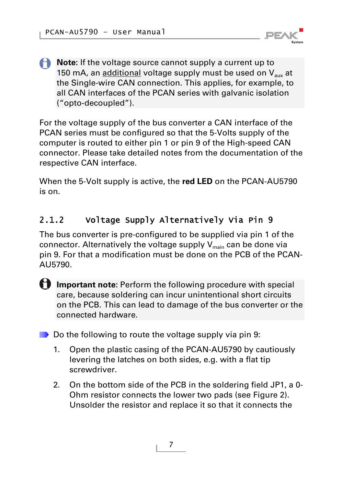

**Note:** If the voltage source cannot supply a current up to 150 mA, an additional voltage supply must be used on  $V_{\text{aux}}$  at the Single-wire CAN connection. This applies, for example, to all CAN interfaces of the PCAN series with galvanic isolation ("opto-decoupled").

For the voltage supply of the bus converter a CAN interface of the PCAN series must be configured so that the 5-Volts supply of the computer is routed to either pin 1 or pin 9 of the High-speed CAN connector. Please take detailed notes from the documentation of the respective CAN interface.

When the 5-Volt supply is active, the **red LED** on the PCAN-AU5790 is on.

### 2.1.2 Voltage Supply Alternatively Via Pin 9

<span id="page-6-0"></span>The bus converter is pre-configured to be supplied via pin 1 of the connector. Alternatively the voltage supply  $V_{\text{main}}$  can be done via pin 9. For that a modification must be done on the PCB of the PCAN-AU5790.

**f** Important note: Perform the following procedure with special care, because soldering can incur unintentional short circuits on the PCB. This can lead to damage of the bus converter or the connected hardware.

 $\Box$  Do the following to route the voltage supply via pin 9:

- 1. Open the plastic casing of the PCAN-AU5790 by cautiously levering the latches on both sides, e.g. with a flat tip screwdriver.
- 2. On the bottom side of the PCB in the soldering field JP1, a 0- Ohm resistor connects the lower two pads (see [Figure 2](#page-7-1)). Unsolder the resistor and replace it so that it connects the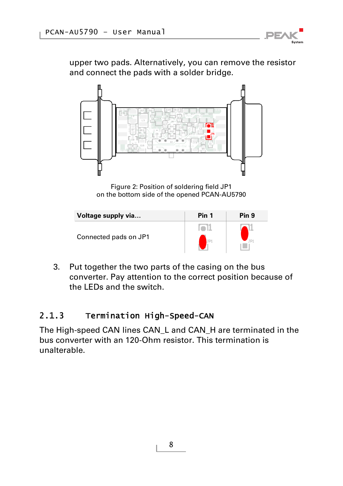

upper two pads. Alternatively, you can remove the resistor and connect the pads with a solder bridge.



Figure 2: Position of soldering field JP1 on the bottom side of the opened PCAN-AU5790

<span id="page-7-1"></span>

| Voltage supply via    | Pin 1 | Pin 9 |
|-----------------------|-------|-------|
|                       |       |       |
| Connected pads on JP1 |       |       |

3. Put together the two parts of the casing on the bus converter. Pay attention to the correct position because of the LEDs and the switch.

#### 2.1.3 Termination High-Speed-CAN

<span id="page-7-0"></span>The High-speed CAN lines CAN\_L and CAN\_H are terminated in the bus converter with an 120-Ohm resistor. This termination is unalterable.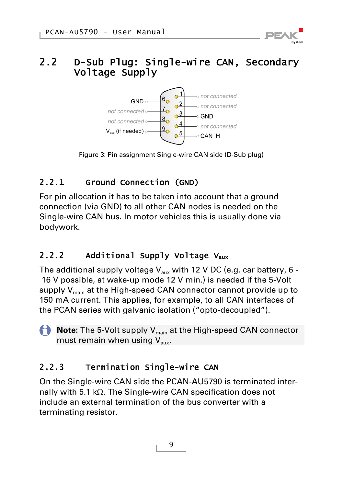### <span id="page-8-0"></span>2.2 D-Sub Plug: Single-wire CAN, Secondary Voltage Supply



Figure 3: Pin assignment Single-wire CAN side (D-Sub plug)

### 2.2.1 Ground Connection (GND)

<span id="page-8-1"></span>For pin allocation it has to be taken into account that a ground connection (via GND) to all other CAN nodes is needed on the Single-wire CAN bus. In motor vehicles this is usually done via bodywork.

## 2.2.2 Additional Supply Voltage V<sub>aux</sub>

<span id="page-8-2"></span>The additional supply voltage  $V_{\text{aux}}$  with 12 V DC (e.g. car battery, 6 - 16 V possible, at wake-up mode 12 V min.) is needed if the 5-Volt supply  $V_{\text{main}}$  at the High-speed CAN connector cannot provide up to 150 mA current. This applies, for example, to all CAN interfaces of the PCAN series with galvanic isolation ("opto-decoupled").

**Note:** The 5-Volt supply V<sub>main</sub> at the High-speed CAN connector must remain when using  $V_{\text{aux}}$ .

## 2.2.3 Termination Single-wire CAN

<span id="page-8-3"></span>On the Single-wire CAN side the PCAN-AU5790 is terminated internally with 5.1 k $\Omega$ . The Single-wire CAN specification does not include an external termination of the bus converter with a terminating resistor.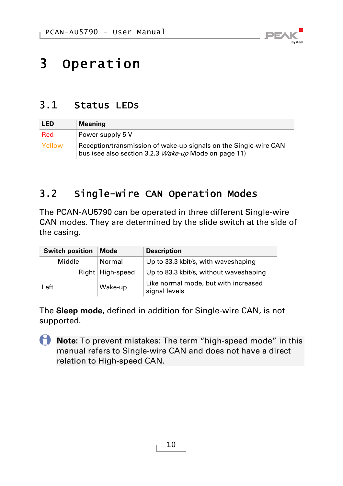

# <span id="page-9-0"></span>3 Operation

### 3.1 Status LEDs

<span id="page-9-1"></span>

| <b>LED</b> | <b>Meaning</b>                                                                                                           |
|------------|--------------------------------------------------------------------------------------------------------------------------|
| Red        | Power supply 5 V                                                                                                         |
| Yellow     | Reception/transmission of wake-up signals on the Single-wire CAN<br>bus (see also section 3.2.3 Wake-up Mode on page 11) |

## <span id="page-9-2"></span>3.2 Single-wire CAN Operation Modes

The PCAN-AU5790 can be operated in three different Single-wire CAN modes. They are determined by the slide switch at the side of the casing.

| <b>Switch position</b> | Mode               | <b>Description</b>                                    |
|------------------------|--------------------|-------------------------------------------------------|
| Middle                 | Normal             | Up to 33.3 kbit/s, with waveshaping                   |
|                        | Right   High-speed | Up to 83.3 kbit/s, without waveshaping                |
| Left                   | Wake-up            | Like normal mode, but with increased<br>signal levels |

The **Sleep mode**, defined in addition for Single-wire CAN, is not supported.

**Note:** To prevent mistakes: The term "high-speed mode" in this manual refers to Single-wire CAN and does not have a direct relation to High-speed CAN.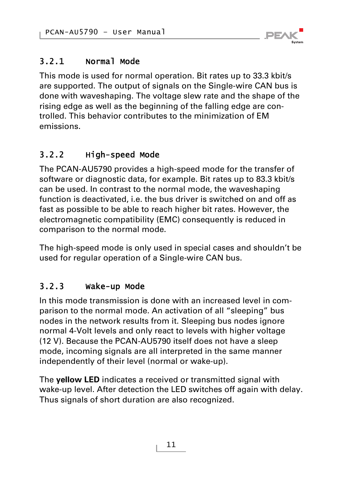

### 3.2.1 Normal Mode

<span id="page-10-0"></span>This mode is used for normal operation. Bit rates up to 33.3 kbit/s are supported. The output of signals on the Single-wire CAN bus is done with waveshaping. The voltage slew rate and the shape of the rising edge as well as the beginning of the falling edge are controlled. This behavior contributes to the minimization of EM emissions.

### 3.2.2 High-speed Mode

<span id="page-10-1"></span>The PCAN-AU5790 provides a high-speed mode for the transfer of software or diagnostic data, for example. Bit rates up to 83.3 kbit/s can be used. In contrast to the normal mode, the waveshaping function is deactivated, i.e. the bus driver is switched on and off as fast as possible to be able to reach higher bit rates. However, the electromagnetic compatibility (EMC) consequently is reduced in comparison to the normal mode.

The high-speed mode is only used in special cases and shouldn't be used for regular operation of a Single-wire CAN bus.

### 3.2.3 Wake-up Mode

<span id="page-10-2"></span>In this mode transmission is done with an increased level in comparison to the normal mode. An activation of all "sleeping" bus nodes in the network results from it. Sleeping bus nodes ignore normal 4-Volt levels and only react to levels with higher voltage (12 V). Because the PCAN-AU5790 itself does not have a sleep mode, incoming signals are all interpreted in the same manner independently of their level (normal or wake-up).

The **yellow LED** indicates a received or transmitted signal with wake-up level. After detection the LED switches off again with delay. Thus signals of short duration are also recognized.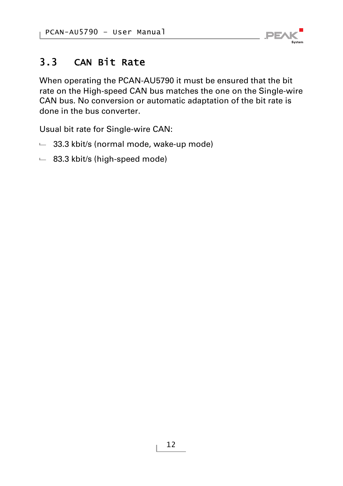

## 3.3 CAN Bit Rate

<span id="page-11-0"></span>When operating the PCAN-AU5790 it must be ensured that the bit rate on the High-speed CAN bus matches the one on the Single-wire CAN bus. No conversion or automatic adaptation of the bit rate is done in the bus converter.

Usual bit rate for Single-wire CAN:

- $-$  33.3 kbit/s (normal mode, wake-up mode)
- $-$  83.3 kbit/s (high-speed mode)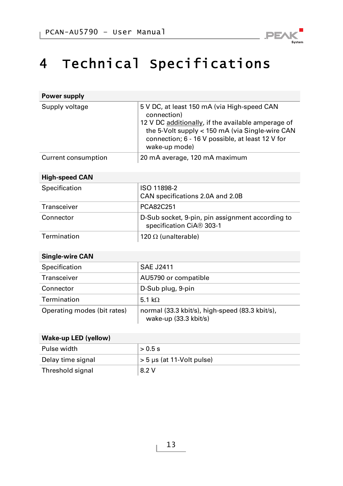

# <span id="page-12-0"></span>4 Technical Specifications

| Power supply        |                                                                                                                                                                                                                                          |
|---------------------|------------------------------------------------------------------------------------------------------------------------------------------------------------------------------------------------------------------------------------------|
| Supply voltage      | 5 V DC, at least 150 mA (via High-speed CAN<br>connection)<br>12 V DC additionally, if the available amperage of<br>the 5-Volt supply < 150 mA (via Single-wire CAN<br>connection; 6 - 16 V possible, at least 12 V for<br>wake-up mode) |
| Current consumption | 20 mA average, 120 mA maximum                                                                                                                                                                                                            |

#### **High-speed CAN**

| Specification | ISO 11898-2                                                                  |
|---------------|------------------------------------------------------------------------------|
|               | CAN specifications 2.0A and 2.0B                                             |
| Transceiver   | PCA82C251                                                                    |
| Connector     | D-Sub socket, 9-pin, pin assignment according to<br>specification CiA® 303-1 |
| Termination   | 120 $\Omega$ (unalterable)                                                   |

| <b>Single-wire CAN</b>      |                                                                          |  |
|-----------------------------|--------------------------------------------------------------------------|--|
| Specification               | <b>SAE J2411</b>                                                         |  |
| Transceiver                 | AU5790 or compatible                                                     |  |
| Connector                   | D-Sub plug, 9-pin                                                        |  |
| Termination                 | 5.1 k $\Omega$                                                           |  |
| Operating modes (bit rates) | normal (33.3 kbit/s), high-speed (83.3 kbit/s),<br>wake-up (33.3 kbit/s) |  |

#### **Wake-up LED (yellow)**

| > 0.5 s                        |
|--------------------------------|
| $> 5 \mu s$ (at 11-Volt pulse) |
| 8.2 V                          |
|                                |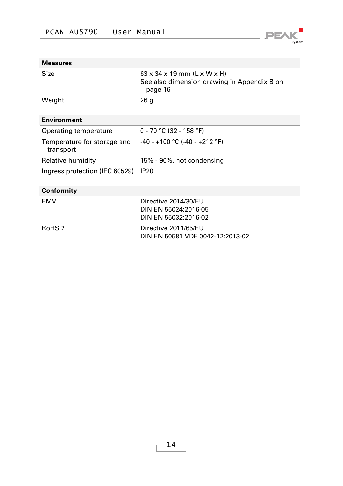

#### **Measures**

| Size   | ∣ 63 x 34 x 19 mm (L x W x H)<br>See also dimension drawing in Appendix B on<br>page 16 |
|--------|-----------------------------------------------------------------------------------------|
| Weight | 26q                                                                                     |

#### **Environment**

| Operating temperature                    | 0 - 70 °C (32 - 158 °F)         |
|------------------------------------------|---------------------------------|
| Temperature for storage and<br>transport | $-40 - +100$ °C (-40 - +212 °F) |
| Relative humidity                        | 15% - 90%, not condensing       |
| Ingress protection (IEC 60529)           | IP <sub>20</sub>                |

#### **Conformity**

| FMV    | Directive 2014/30/EU<br>DIN EN 55024:2016-05<br>DIN EN 55032:2016-02 |
|--------|----------------------------------------------------------------------|
| RoHS 2 | Directive 2011/65/EU<br>DIN EN 50581 VDE 0042-12:2013-02             |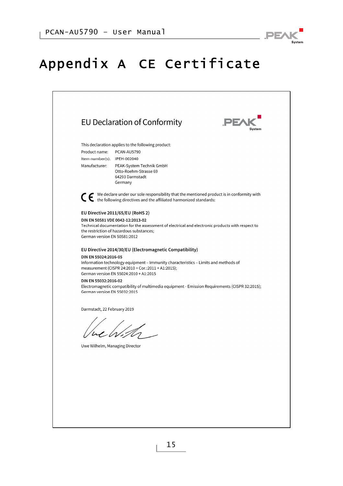

# <span id="page-14-0"></span>Appendix A CE Certificate

|                                                      | EU Declaration of Conformity                                                                                                                                                        | PE/ |
|------------------------------------------------------|-------------------------------------------------------------------------------------------------------------------------------------------------------------------------------------|-----|
|                                                      | This declaration applies to the following product:                                                                                                                                  |     |
| Product name:                                        | PCAN-AU5790                                                                                                                                                                         |     |
| Item number(s): IPEH-002040<br>Manufacturer:         | PEAK-System Technik GmbH                                                                                                                                                            |     |
|                                                      | Otto-Roehm-Strasse 69                                                                                                                                                               |     |
|                                                      | 64293 Darmstadt<br>Germany                                                                                                                                                          |     |
|                                                      | ◯ ← We declare under our sole responsibility that the mentioned product is in conformity with the following directives and the affiliated harmonized standards:                     |     |
|                                                      | EU Directive 2011/65/EU (RoHS 2)                                                                                                                                                    |     |
| German version EN 50581:2012                         | DIN EN 50581 VDE 0042-12:2013-02<br>Technical documentation for the assessment of electrical and electronic products with respect to<br>the restriction of hazardous substances;    |     |
|                                                      | EU Directive 2014/30/EU (Electromagnetic Compatibility)                                                                                                                             |     |
| DIN EN 55024:2016-05                                 |                                                                                                                                                                                     |     |
|                                                      | Information technology equipment - Immunity characteristics - Limits and methods of<br>measurement (CISPR 24:2010 + Cor.:2011 + A1:2015);<br>German version EN 55024:2010 + A1:2015 |     |
| DIN EN 55032:2016-02<br>German version EN 55032:2015 | Electromagnetic compatibility of multimedia equipment - Emission Requirements (CISPR 32:2015);                                                                                      |     |
| Darmstadt, 22 February 2019                          |                                                                                                                                                                                     |     |
|                                                      |                                                                                                                                                                                     |     |
|                                                      |                                                                                                                                                                                     |     |
| Uwe Wilhelm, Managing Director                       |                                                                                                                                                                                     |     |
|                                                      |                                                                                                                                                                                     |     |
|                                                      |                                                                                                                                                                                     |     |
|                                                      |                                                                                                                                                                                     |     |
|                                                      |                                                                                                                                                                                     |     |
|                                                      |                                                                                                                                                                                     |     |
|                                                      |                                                                                                                                                                                     |     |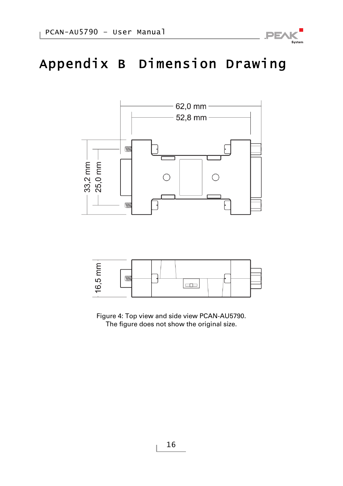

# <span id="page-15-0"></span>Appendix B Dimension Drawing





Figure 4: Top view and side view PCAN-AU5790. The figure does not show the original size.